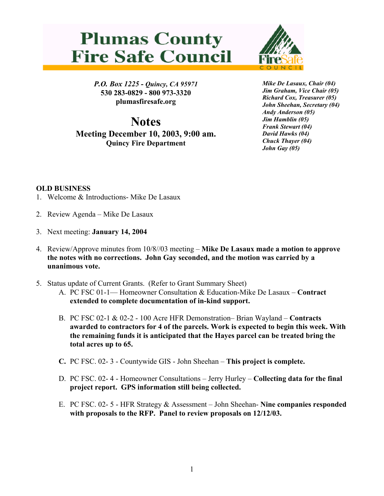## **Plumas County Fire Safe Council**



*P.O. Box 1225 - Quincy, CA 95971*  **530 283-0829 - 800 973-3320 plumasfiresafe.org** 

**Notes Meeting December 10, 2003, 9:00 am. Quincy Fire Department**

*Mike De Lasaux, Chair (04) Jim Graham, Vice Chair (05) Richard Cox, Treasurer (05) John Sheehan, Secretary (04) Andy Anderson (05) Jim Hamblin (05) Frank Stewart (04) David Hawks (04) Chuck Thayer (04) John Gay (05)*

## **OLD BUSINESS**

- 1. Welcome & Introductions- Mike De Lasaux
- 2. Review Agenda Mike De Lasaux
- 3. Next meeting: **January 14, 2004**
- 4. Review/Approve minutes from 10/8//03 meeting **Mike De Lasaux made a motion to approve the notes with no corrections. John Gay seconded, and the motion was carried by a unanimous vote.**
- 5. Status update of Current Grants. (Refer to Grant Summary Sheet)
	- A. PC FSC 01-1— Homeowner Consultation & Education-Mike De Lasaux **Contract extended to complete documentation of in-kind support.**
	- B. PC FSC 02-1 & 02-2 100 Acre HFR Demonstration– Brian Wayland **Contracts awarded to contractors for 4 of the parcels. Work is expected to begin this week. With the remaining funds it is anticipated that the Hayes parcel can be treated bring the total acres up to 65.**
	- **C.** PC FSC. 02- 3 Countywide GIS John Sheehan **This project is complete.**
	- D. PC FSC. 02- 4 Homeowner Consultations Jerry Hurley **Collecting data for the final project report. GPS information still being collected.**
	- E. PC FSC. 02- 5 HFR Strategy & Assessment John Sheehan- **Nine companies responded with proposals to the RFP. Panel to review proposals on 12/12/03.**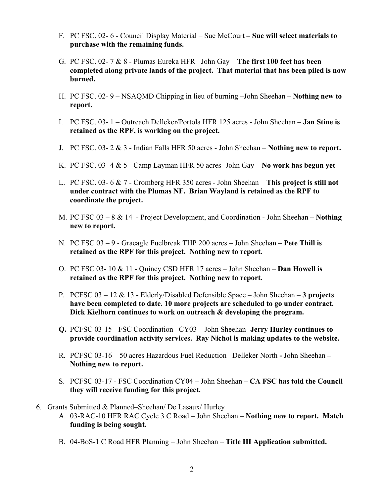- F. PC FSC. 02- 6 Council Display Material Sue McCourt  **Sue will select materials to purchase with the remaining funds.**
- G. PC FSC. 02- 7 & 8 Plumas Eureka HFR –John Gay **The first 100 feet has been completed along private lands of the project. That material that has been piled is now burned.**
- H. PC FSC. 02- 9 NSAQMD Chipping in lieu of burning –John Sheehan **Nothing new to report.**
- I. PC FSC. 03- 1 Outreach Delleker/Portola HFR 125 acres John Sheehan **Jan Stine is retained as the RPF, is working on the project.**
- J. PC FSC. 03- 2 & 3 Indian Falls HFR 50 acres John Sheehan **Nothing new to report.**
- K. PC FSC. 03- 4 & 5 Camp Layman HFR 50 acres- John Gay **No work has begun yet**
- L. PC FSC. 03- 6 & 7 Cromberg HFR 350 acres John Sheehan **This project is still not under contract with the Plumas NF. Brian Wayland is retained as the RPF to coordinate the project.**
- M. PC FSC 03 8 & 14 Project Development, and Coordination John Sheehan – **Nothing new to report.**
- N. PC FSC 03 9 Graeagle Fuelbreak THP 200 acres John Sheehan **Pete Thill is retained as the RPF for this project. Nothing new to report.**
- O. PC FSC 03- 10 & 11 Quincy CSD HFR 17 acres John Sheehan – **Dan Howell is retained as the RPF for this project. Nothing new to report.**
- P. PCFSC 03 12 & 13 Elderly/Disabled Defensible Space John Sheehan **3 projects have been completed to date. 10 more projects are scheduled to go under contract. Dick Kielhorn continues to work on outreach & developing the program.**
- **Q.** PCFSC 03-15 FSC Coordination –CY03 John Sheehan- **Jerry Hurley continues to provide coordination activity services. Ray Nichol is making updates to the website.**
- R. PCFSC 03-16 50 acres Hazardous Fuel Reduction –Delleker North **-** John Sheehan **Nothing new to report.**
- S. PCFSC 03-17 FSC Coordination CY04 John Sheehan **CA FSC has told the Council they will receive funding for this project.**
- 6. Grants Submitted & Planned–Sheehan/ De Lasaux/ Hurley
	- A. 03-RAC-10 HFR RAC Cycle 3 C Road John Sheehan **Nothing new to report. Match funding is being sought.**
	- B. 04-BoS-1 C Road HFR Planning John Sheehan – **Title III Application submitted.**